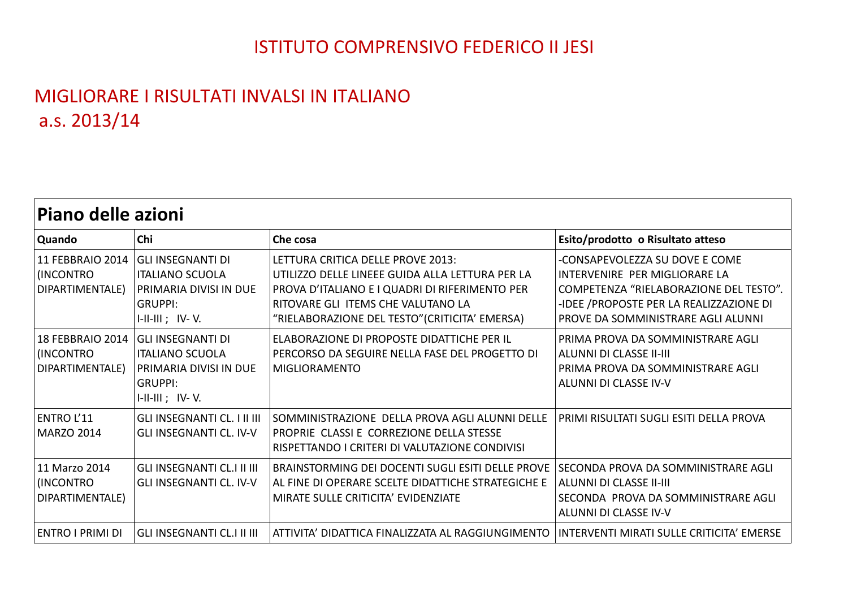## ISTITUTO COMPRENSIVO FEDERICO II JESI

## MIGLIORARE I RISULTATI INVALSI IN ITALIANO a.s. 2013/14

| <b>Piano delle azioni</b>                        |                                                                                                                     |                                                                                                                                                                                                                                |                                                                                                                                                                                            |  |
|--------------------------------------------------|---------------------------------------------------------------------------------------------------------------------|--------------------------------------------------------------------------------------------------------------------------------------------------------------------------------------------------------------------------------|--------------------------------------------------------------------------------------------------------------------------------------------------------------------------------------------|--|
| Quando                                           | Chi                                                                                                                 | Che cosa                                                                                                                                                                                                                       | Esito/prodotto o Risultato atteso                                                                                                                                                          |  |
| 11 FEBBRAIO 2014<br>(INCONTRO<br>DIPARTIMENTALE) | <b>GLI INSEGNANTI DI</b><br><b>ITALIANO SCUOLA</b><br>PRIMARIA DIVISI IN DUE<br><b>GRUPPI:</b><br>$I-II-II$ ; IV-V. | LFTTURA CRITICA DFLLF PROVF 2013:<br>UTILIZZO DELLE LINEEE GUIDA ALLA LETTURA PER LA<br>PROVA D'ITALIANO E I QUADRI DI RIFERIMENTO PER<br>RITOVARE GLI ITEMS CHE VALUTANO LA<br>"RIELABORAZIONE DEL TESTO" (CRITICITA' EMERSA) | -CONSAPEVOLEZZA SU DOVE E COME<br>INTERVENIRE PER MIGLIORARE LA<br>COMPETENZA "RIELABORAZIONE DEL TESTO".<br>-IDEE /PROPOSTE PER LA REALIZZAZIONE DI<br>PROVE DA SOMMINISTRARE AGLI ALUNNI |  |
| 18 FEBBRAIO 2014<br>(INCONTRO<br>DIPARTIMENTALE) | <b>GLI INSEGNANTI DI</b><br><b>ITALIANO SCUOLA</b><br>PRIMARIA DIVISI IN DUE<br><b>GRUPPI:</b><br>$I-II-II$ ; IV-V. | ELABORAZIONE DI PROPOSTE DIDATTICHE PER IL<br>PERCORSO DA SEGUIRE NELLA FASE DEL PROGETTO DI<br><b>MIGLIORAMENTO</b>                                                                                                           | PRIMA PROVA DA SOMMINISTRARE AGLI<br>ALUNNI DI CLASSE II-III<br>PRIMA PROVA DA SOMMINISTRARE AGLI<br>ALUNNI DI CLASSE IV-V                                                                 |  |
| <b>ENTRO L'11</b><br><b>MARZO 2014</b>           | <b>GLI INSEGNANTI CL. I II III</b><br><b>GLI INSEGNANTI CL. IV-V</b>                                                | SOMMINISTRAZIONE DELLA PROVA AGLI ALUNNI DELLE<br>PROPRIE CLASSI E CORREZIONE DELLA STESSE<br>RISPETTANDO I CRITERI DI VALUTAZIONE CONDIVISI                                                                                   | PRIMI RISULTATI SUGLI ESITI DELLA PROVA                                                                                                                                                    |  |
| 11 Marzo 2014<br>(INCONTRO<br>DIPARTIMENTALE)    | <b>GLI INSEGNANTI CL.I II III</b><br><b>GLI INSEGNANTI CL. IV-V</b>                                                 | BRAINSTORMING DEI DOCENTI SUGLI ESITI DELLE PROVE<br>AL FINE DI OPERARE SCELTE DIDATTICHE STRATEGICHE E<br>MIRATE SULLE CRITICITA' EVIDENZIATE                                                                                 | SECONDA PROVA DA SOMMINISTRARE AGLI<br>ALUNNI DI CLASSE II-III<br>SECONDA PROVA DA SOMMINISTRARE AGLI<br>ALUNNI DI CLASSE IV-V                                                             |  |
| <b>ENTRO I PRIMI DI</b>                          | <b>GLI INSEGNANTI CL.I II III</b>                                                                                   | ATTIVITA' DIDATTICA FINALIZZATA AL RAGGIUNGIMENTO                                                                                                                                                                              | INTERVENTI MIRATI SULLE CRITICITA' EMERSE                                                                                                                                                  |  |